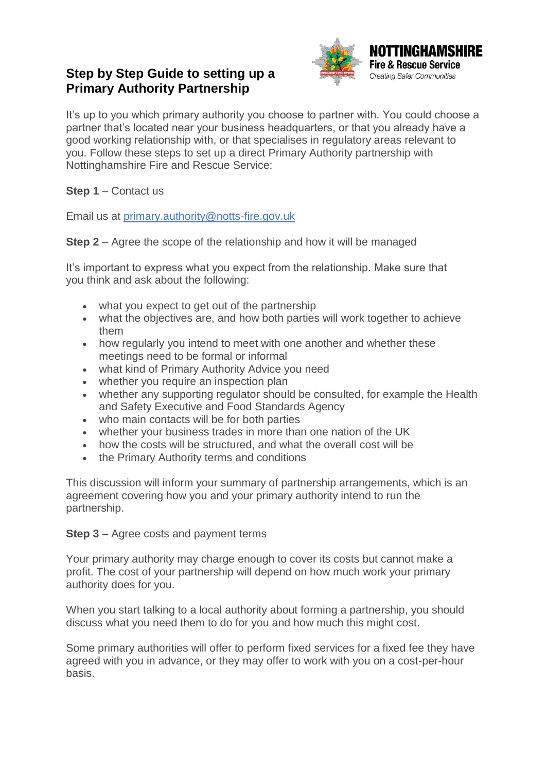## **Step by Step Guide to setting up a Primary Authority Partnership**



It's up to you which primary authority you choose to partner with. You could choose a partner that's located near your business headquarters, or that you already have a good working relationship with, or that specialises in regulatory areas relevant to you. Follow these steps to set up a direct Primary Authority partnership with Nottinghamshire Fire and Rescue Service:

## **Step 1** – Contact us

Email us at primary.authority@notts-fire.gov.uk

**Step 2** – Agree the scope of the relationship and how it will be managed

It's important to express what you expect from the relationship. Make sure that you think and ask about the following:

- what you expect to get out of the partnership
- what the objectives are, and how both parties will work together to achieve them
- how regularly you intend to meet with one another and whether these meetings need to be formal or informal
- what kind of Primary Authority Advice you need
- whether you require an inspection plan
- whether any supporting regulator should be consulted, for example the Health and Safety Executive and Food Standards Agency
- who main contacts will be for both parties
- whether your business trades in more than one nation of the UK
- how the costs will be structured, and what the overall cost will be
- the Primary Authority terms and conditions

This discussion will inform your summary of partnership arrangements, which is an agreement covering how you and your primary authority intend to run the partnership.

**Step 3** – Agree costs and payment terms

Your primary authority may charge enough to cover its costs but cannot make a profit. The cost of your partnership will depend on how much work your primary authority does for you.

When you start talking to a local authority about forming a partnership, you should discuss what you need them to do for you and how much this might cost.

Some primary authorities will offer to perform fixed services for a fixed fee they have agreed with you in advance, or they may offer to work with you on a cost-per-hour basis.